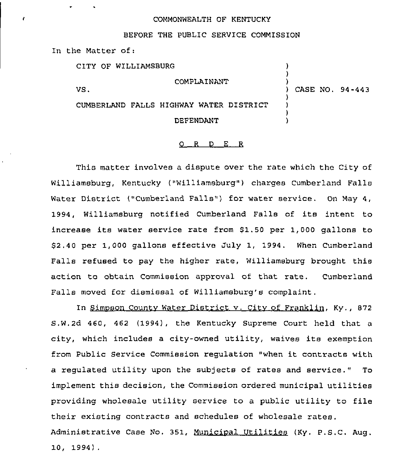## COMMONWEALTH OF KENTUCKY

## BEFORE THE PUBLIC SERVICE COMMISSION

In the Matter of:

| CITY OF WILLIAMSBURG                    |                 |
|-----------------------------------------|-----------------|
| COMPLAINANT                             |                 |
| VS.                                     | CASE NO. 94-443 |
| CUMBERLAND FALLS HIGHWAY WATER DISTRICT |                 |
| DEFENDANT                               |                 |

## 0 <sup>R</sup> <sup>D</sup> E R

This matter involves a dispute over the rate which the City of Williamsburg, Kentucky ("Williamsburg") charges Cumberland Falls Water District ("Cumberland Falls") for water service. On May 4, 1994, Williamsburg notified Cumberland Falls of its intent to increase its water service rate from \$1.50 per 1,000 gallons to 52,40 per 1,000 gallons effective July 1, 1994. When Cumberland Falls refused to pay the higher rate, Williamsburg brought this action to obtain Commission approval of that rate. Cumberland Falls moved for dismissal of Williamsburg's complaint.

In Simoson Countv Water District v. Citv of Franklin, Ky., 872 S.W.2d 460, 462 (1994), the Kentucky Supreme Court held that a city, which includes <sup>a</sup> city-owned utility, waives its exemption from Public Service Commission requlation "when it contracts with a regulated utility upon the subjects of rates and service." To implement this decision, the Commission ordered municipal utilities providing wholesale utility service to a public utility to file their existing contracts and schedules of wholesale rates. Administrative Case No. 351, Municipal Utilities (Ky. P.S.C. Aug. 10, 1994) .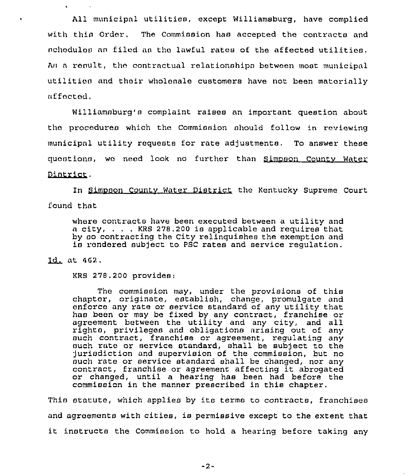All municipal utilities, except Williamsburg, have complied with thin Order, The Commission has accepted the contracts and nchodulos nn filed an the lawful rates of the affected utilities, As a result, the contractual relationships between most municipal utilition and thoir wholonale customers have not been materially nffected.

Williamnburg'n complaint raises an important question about the procedures which the Commission should follow in reviewing municipal utility requests for rate adjustments, To answer these quostions, we need look no further than Simpson County Water Dintrict.

In Simpson County Water District the Kentucky Supreme Court found that

whore contracts have been executed between a utility and <sup>a</sup> city, , KRS 278,200 is applicable and requires that by so contracting the City relinquishes the exemption and is rendered subject to PSC rates and service regulation.

 $Id_L$  at  $462$ .

KRS 270.200 provides:

The commission may, under the provisions of this chaptor, originate, establish, change, promulgate and onforco any rata or service standard of any utility that hao been or may be fixed by any contract, franchise or agreement between the utility and any city, and all rights, privileges and obligations arising out of any such contract, franchise or agreement, regulating any ouch rate or service standard, shall be subject to the 'Jurisdiction and supervision of the commission, but no such rate or service standard shall be changed, nor any contract, franchise or agreement affecting it abrogated or changed, until a hearing has been had before the commission in the manner prescribed in this chapter.

Thin statute, which applies by its terms to contracts, franchises and agroemonts with cities, is permissive except to the extent that it instructs the Commission to hold a hearing before taking any

 $-2-$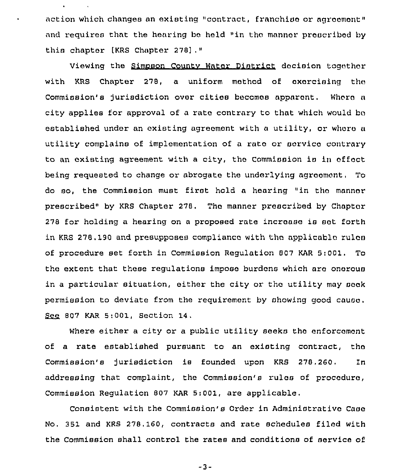action which changes an existing "contract, franchise or agreement" and requires that the hearing be held "in the manner prescribed by this chapter [KRS Chapter 278],"

 $\mathbf{r}$ 

Viewing the Simpson County Water District docision togather with KRS Chapter 278, a uniform method of exercising the Commission's jurisdiction over cities becomes apparent. Where a city applies for approval of a rate contrary to that which would ba established under an existing agreement with a utility, or where a utility complains of implementation of a rate or service contrary to an existing agreement with a city, the Commission is in offect being requested to change or abrogate the underlying agreement. To do so, the Commission must first hold <sup>a</sup> hearing "in tha manner prescribed" by KRS Chapter 278. The manner prescribed by Chaptor 278 for holding a hearing on a proposed rute increase ie oot forth in KRS 278.190 and presupposes compliance with the applicable rules of proceduxe set forth in Commission Regulation 807 KAR 5:001. To the extent that these xegulations impose burdens which nra onarouo in a particular situation, either the city or the utility may seek permission to deviate from the requirement by showing good cause. See 807 KAR 5:001, Section 14,

Where either a city or a public utility seeks the enforcement of a rate established pursuant to an existing contract, tha Commission's jurisdiction ie founded upon KRS 278,260. In addressing that complaint, the Commission's rulao of proceduro, Commission Regulation 807 KAR 5:001, are applicable.

Consistent with the Commission's Order in Administrative Case No, 351 and KRS 278.160, contracts and rate schedules filed with the Commission shall control the rates and conditions of oervice of

 $-3-$